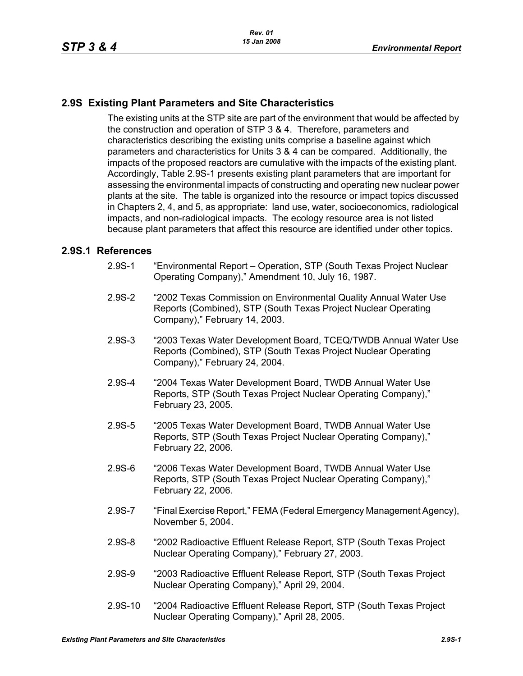## **2.9S Existing Plant Parameters and Site Characteristics**

The existing units at the STP site are part of the environment that would be affected by the construction and operation of STP 3 & 4. Therefore, parameters and characteristics describing the existing units comprise a baseline against which parameters and characteristics for Units 3 & 4 can be compared. Additionally, the impacts of the proposed reactors are cumulative with the impacts of the existing plant. Accordingly, Table 2.9S-1 presents existing plant parameters that are important for assessing the environmental impacts of constructing and operating new nuclear power plants at the site. The table is organized into the resource or impact topics discussed in Chapters 2, 4, and 5, as appropriate: land use, water, socioeconomics, radiological impacts, and non-radiological impacts. The ecology resource area is not listed because plant parameters that affect this resource are identified under other topics.

## **2.9S.1 References**

- 2.9S-1 "Environmental Report Operation, STP (South Texas Project Nuclear Operating Company)," Amendment 10, July 16, 1987.
- 2.9S-2 "2002 Texas Commission on Environmental Quality Annual Water Use Reports (Combined), STP (South Texas Project Nuclear Operating Company)," February 14, 2003.
- 2.9S-3 "2003 Texas Water Development Board, TCEQ/TWDB Annual Water Use Reports (Combined), STP (South Texas Project Nuclear Operating Company)," February 24, 2004.
- 2.9S-4 "2004 Texas Water Development Board, TWDB Annual Water Use Reports, STP (South Texas Project Nuclear Operating Company)," February 23, 2005.
- 2.9S-5 "2005 Texas Water Development Board, TWDB Annual Water Use Reports, STP (South Texas Project Nuclear Operating Company)," February 22, 2006.
- 2.9S-6 "2006 Texas Water Development Board, TWDB Annual Water Use Reports, STP (South Texas Project Nuclear Operating Company)," February 22, 2006.
- 2.9S-7 "Final Exercise Report," FEMA (Federal Emergency Management Agency), November 5, 2004.
- 2.9S-8 "2002 Radioactive Effluent Release Report, STP (South Texas Project Nuclear Operating Company)," February 27, 2003.
- 2.9S-9 "2003 Radioactive Effluent Release Report, STP (South Texas Project Nuclear Operating Company)," April 29, 2004.
- 2.9S-10 "2004 Radioactive Effluent Release Report, STP (South Texas Project Nuclear Operating Company)," April 28, 2005.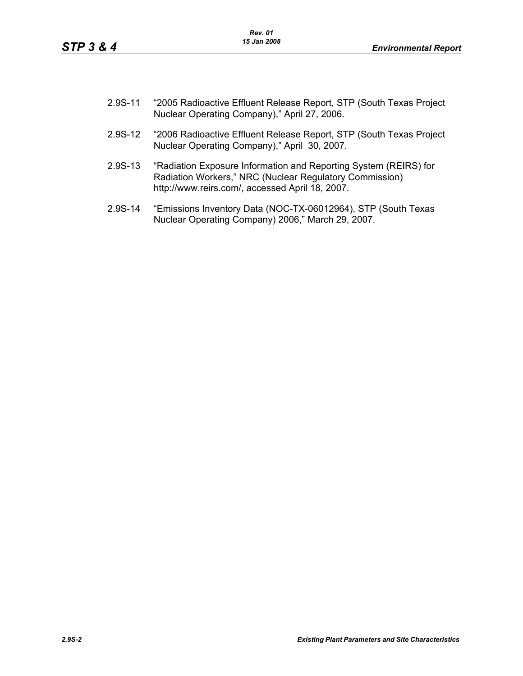- 2.9S-11 "2005 Radioactive Effluent Release Report, STP (South Texas Project Nuclear Operating Company)," April 27, 2006.
- 2.9S-12 "2006 Radioactive Effluent Release Report, STP (South Texas Project Nuclear Operating Company)," April 30, 2007.
- 2.9S-13 "Radiation Exposure Information and Reporting System (REIRS) for Radiation Workers," NRC (Nuclear Regulatory Commission) http://www.reirs.com/, accessed April 18, 2007.
- 2.9S-14 "Emissions Inventory Data (NOC-TX-06012964), STP (South Texas Nuclear Operating Company) 2006," March 29, 2007.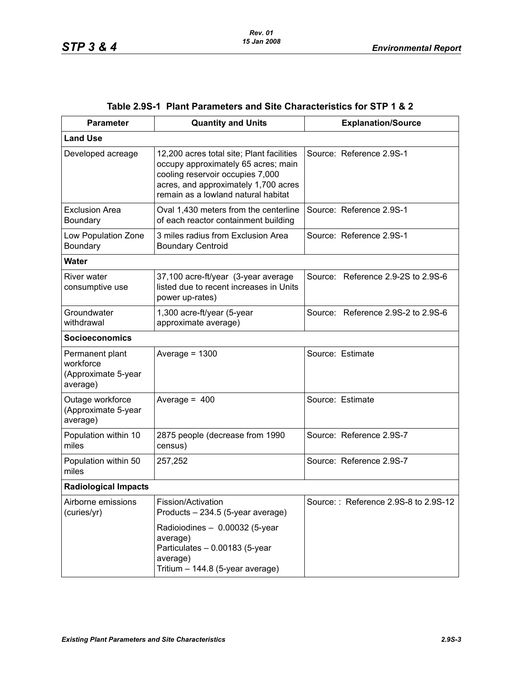| <b>Parameter</b>                                                | <b>Quantity and Units</b>                                                                                                                                                                           | <b>Explanation/Source</b>            |  |  |  |
|-----------------------------------------------------------------|-----------------------------------------------------------------------------------------------------------------------------------------------------------------------------------------------------|--------------------------------------|--|--|--|
| <b>Land Use</b>                                                 |                                                                                                                                                                                                     |                                      |  |  |  |
| Developed acreage                                               | 12,200 acres total site; Plant facilities<br>occupy approximately 65 acres; main<br>cooling reservoir occupies 7,000<br>acres, and approximately 1,700 acres<br>remain as a lowland natural habitat | Source: Reference 2.9S-1             |  |  |  |
| <b>Exclusion Area</b><br>Boundary                               | Oval 1,430 meters from the centerline<br>of each reactor containment building                                                                                                                       | Source: Reference 2.9S-1             |  |  |  |
| Low Population Zone<br>Boundary                                 | 3 miles radius from Exclusion Area<br><b>Boundary Centroid</b>                                                                                                                                      | Source: Reference 2.9S-1             |  |  |  |
| <b>Water</b>                                                    |                                                                                                                                                                                                     |                                      |  |  |  |
| <b>River water</b><br>consumptive use                           | 37,100 acre-ft/year (3-year average<br>listed due to recent increases in Units<br>power up-rates)                                                                                                   | Source: Reference 2.9-2S to 2.9S-6   |  |  |  |
| Groundwater<br>withdrawal                                       | 1,300 acre-ft/year (5-year<br>approximate average)                                                                                                                                                  | Source: Reference 2.9S-2 to 2.9S-6   |  |  |  |
| <b>Socioeconomics</b>                                           |                                                                                                                                                                                                     |                                      |  |  |  |
| Permanent plant<br>workforce<br>(Approximate 5-year<br>average) | Average = $1300$                                                                                                                                                                                    | Source: Estimate                     |  |  |  |
| Outage workforce<br>(Approximate 5-year<br>average)             | Average = $400$                                                                                                                                                                                     | Source: Estimate                     |  |  |  |
| Population within 10<br>miles                                   | 2875 people (decrease from 1990<br>census)                                                                                                                                                          | Source: Reference 2.9S-7             |  |  |  |
| Population within 50<br>miles                                   | 257,252                                                                                                                                                                                             | Source: Reference 2.9S-7             |  |  |  |
| <b>Radiological Impacts</b>                                     |                                                                                                                                                                                                     |                                      |  |  |  |
| Airborne emissions<br>(curies/yr)                               | Fission/Activation<br>Products - 234.5 (5-year average)                                                                                                                                             | Source:: Reference 2.9S-8 to 2.9S-12 |  |  |  |
|                                                                 | Radioiodines - 0.00032 (5-year<br>average)<br>Particulates - 0.00183 (5-year<br>average)<br>Tritium - 144.8 (5-year average)                                                                        |                                      |  |  |  |

## **Table 2.9S-1 Plant Parameters and Site Characteristics for STP 1 & 2**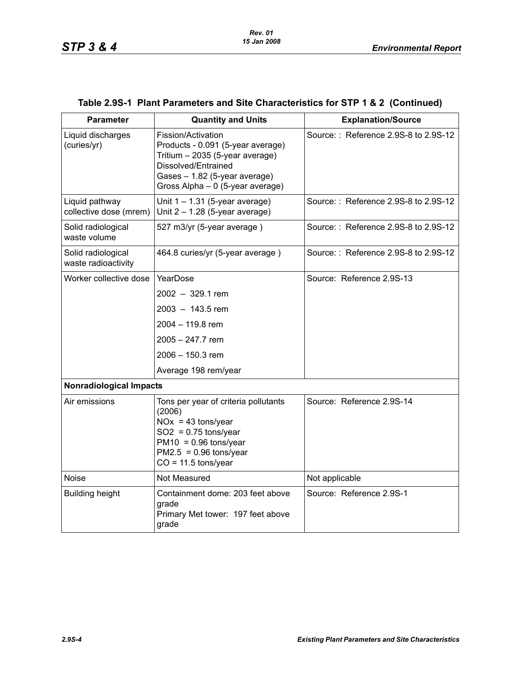| <b>Parameter</b>                          | <b>Quantity and Units</b>                                                                                                                                                              | <b>Explanation/Source</b>            |
|-------------------------------------------|----------------------------------------------------------------------------------------------------------------------------------------------------------------------------------------|--------------------------------------|
| Liquid discharges<br>(curies/yr)          | Fission/Activation<br>Products - 0.091 (5-year average)<br>Tritium - 2035 (5-year average)<br>Dissolved/Entrained<br>Gases - 1.82 (5-year average)<br>Gross Alpha - 0 (5-year average) | Source:: Reference 2.9S-8 to 2.9S-12 |
| Liquid pathway<br>collective dose (mrem)  | Unit $1 - 1.31$ (5-year average)<br>Unit $2 - 1.28$ (5-year average)                                                                                                                   | Source:: Reference 2.9S-8 to 2.9S-12 |
| Solid radiological<br>waste volume        | 527 m3/yr (5-year average)                                                                                                                                                             | Source:: Reference 2.9S-8 to 2.9S-12 |
| Solid radiological<br>waste radioactivity | 464.8 curies/yr (5-year average)                                                                                                                                                       | Source:: Reference 2.9S-8 to 2.9S-12 |
| Worker collective dose                    | YearDose                                                                                                                                                                               | Source: Reference 2.9S-13            |
|                                           | 2002 - 329.1 rem                                                                                                                                                                       |                                      |
|                                           | 2003 - 143.5 rem                                                                                                                                                                       |                                      |
|                                           | 2004 - 119.8 rem                                                                                                                                                                       |                                      |
|                                           | 2005 - 247.7 rem                                                                                                                                                                       |                                      |
|                                           | 2006 - 150.3 rem                                                                                                                                                                       |                                      |
|                                           | Average 198 rem/year                                                                                                                                                                   |                                      |
| <b>Nonradiological Impacts</b>            |                                                                                                                                                                                        |                                      |
| Air emissions                             | Tons per year of criteria pollutants<br>(2006)<br>$NOx = 43$ tons/year<br>$SO2 = 0.75$ tons/year<br>$PM10 = 0.96$ tons/year<br>$PM2.5 = 0.96$ tons/year<br>$CO = 11.5$ tons/year       | Source: Reference 2.9S-14            |
| <b>Noise</b>                              | Not Measured                                                                                                                                                                           | Not applicable                       |
| <b>Building height</b>                    | Containment dome: 203 feet above<br>grade<br>Primary Met tower: 197 feet above<br>grade                                                                                                | Source: Reference 2.9S-1             |

## **Table 2.9S-1 Plant Parameters and Site Characteristics for STP 1 & 2 (Continued)**